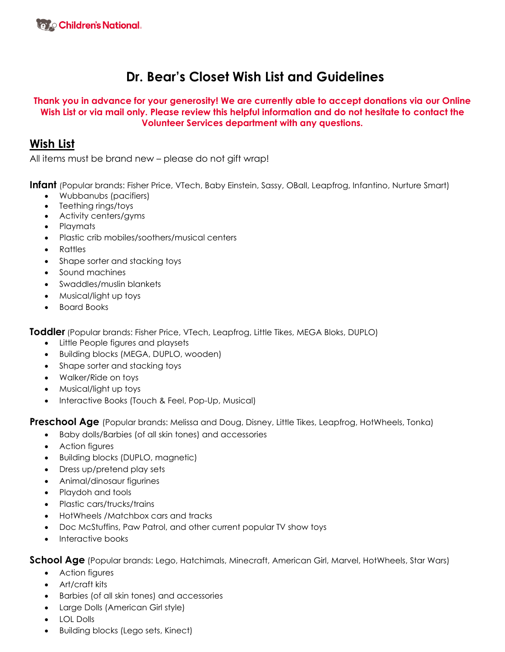# **Dr. Bear's Closet Wish List and Guidelines**

#### **Thank you in advance for your generosity! We are currently able to accept donations via our Online Wish List or via mail only. Please review this helpful information and do not hesitate to contact the Volunteer Services department with any questions.**

# **Wish List**

All items must be brand new – please do not gift wrap!

**Infant** (Popular brands: Fisher Price, VTech, Baby Einstein, Sassy, OBall, Leapfrog, Infantino, Nurture Smart)

- Wubbanubs (pacifiers)
- Teething rings/toys
- Activity centers/gyms
- Playmats
- Plastic crib mobiles/soothers/musical centers
- Rattles
- Shape sorter and stacking toys
- Sound machines
- Swaddles/muslin blankets
- Musical/light up toys
- Board Books

**Toddler** (Popular brands: Fisher Price, VTech, Leapfrog, Little Tikes, MEGA Bloks, DUPLO)

- Little People figures and playsets
- Building blocks (MEGA, DUPLO, wooden)
- Shape sorter and stacking toys
- Walker/Ride on toys
- Musical/light up toys
- Interactive Books (Touch & Feel, Pop-Up, Musical)

**Preschool Age** (Popular brands: Melissa and Doug, Disney, Little Tikes, Leapfrog, HotWheels, Tonka)

- Baby dolls/Barbies (of all skin tones) and accessories
- Action figures
- Building blocks (DUPLO, magnetic)
- Dress up/pretend play sets
- Animal/dinosaur figurines
- Playdoh and tools
- Plastic cars/trucks/trains
- HotWheels /Matchbox cars and tracks
- Doc McStuffins, Paw Patrol, and other current popular TV show toys
- Interactive books

**School Age** (Popular brands: Lego, Hatchimals, Minecraft, American Girl, Marvel, HotWheels, Star Wars)

- Action figures
- Art/craft kits
- Barbies (of all skin tones) and accessories
- Large Dolls (American Girl style)
- LOL Dolls
- Building blocks (Lego sets, Kinect)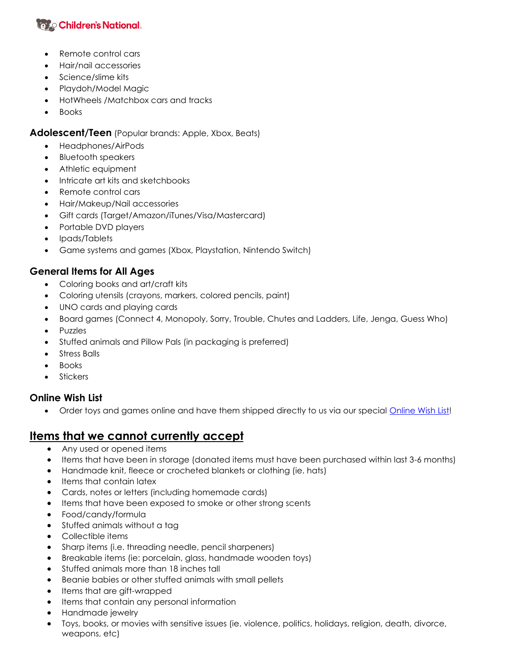# **<b>Vayo Children's National.**

- Remote control cars
- Hair/nail accessories
- Science/slime kits
- Playdoh/Model Magic
- HotWheels /Matchbox cars and tracks
- Books

**Adolescent/Teen** (Popular brands: Apple, Xbox, Beats)

- Headphones/AirPods
- Bluetooth speakers
- Athletic equipment
- Intricate art kits and sketchbooks
- Remote control cars
- Hair/Makeup/Nail accessories
- Gift cards (Target/Amazon/iTunes/Visa/Mastercard)
- Portable DVD players
- Ipads/Tablets
- Game systems and games (Xbox, Playstation, Nintendo Switch)

### **General Items for All Ages**

- Coloring books and art/craft kits
- Coloring utensils (crayons, markers, colored pencils, paint)
- UNO cards and playing cards
- Board games (Connect 4, Monopoly, Sorry, Trouble, Chutes and Ladders, Life, Jenga, Guess Who)
- Puzzles
- Stuffed animals and Pillow Pals (in packaging is preferred)
- Stress Balls
- Books
- **Stickers**

### **Online Wish List**

• Order toys and games online and have them shipped directly to us via our special [Online Wish List!](https://www.myregistry.com/organization/children-s-national-hospital-washington-dc/2533190/giftlist?publicUrlName=childrensnationalhospital)

# **Items that we cannot currently accept**

- Any used or opened items
- Items that have been in storage (donated items must have been purchased within last 3-6 months)
- Handmade knit, fleece or crocheted blankets or clothing (ie. hats)
- Items that contain latex
- Cards, notes or letters (including homemade cards)
- Items that have been exposed to smoke or other strong scents
- Food/candy/formula
- Stuffed animals without a tag
- Collectible items
- Sharp items (i.e. threading needle, pencil sharpeners)
- Breakable items (ie: porcelain, glass, handmade wooden toys)
- Stuffed animals more than 18 inches tall
- Beanie babies or other stuffed animals with small pellets
- Items that are gift-wrapped
- Items that contain any personal information
- Handmade jewelry
- Toys, books, or movies with sensitive issues (ie. violence, politics, holidays, religion, death, divorce, weapons, etc)